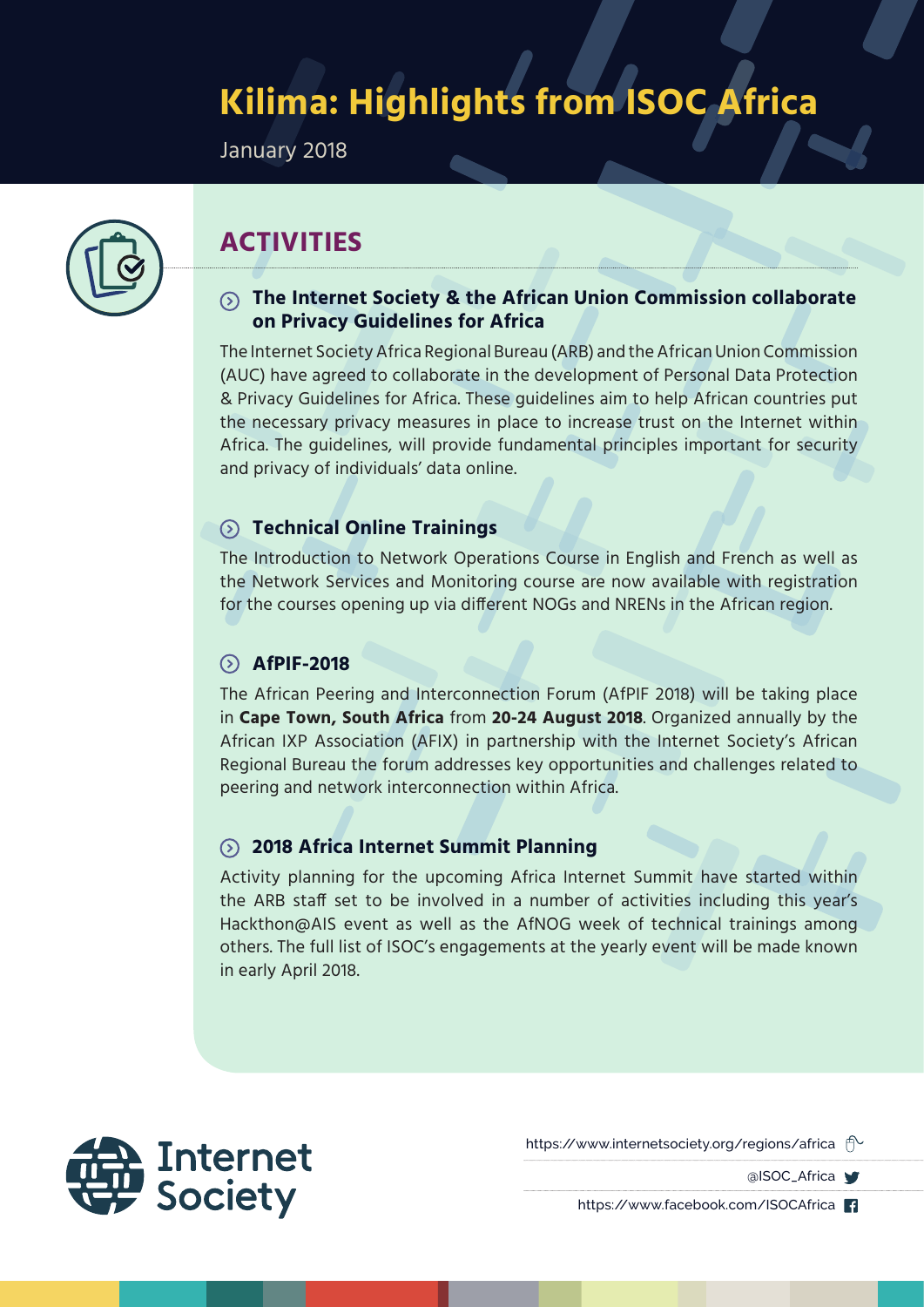# **Kilima: Highlights from ISOC Africa**

January 2018



# **ACTIVITIES**

#### **The Internet Society & the African Union Commission collaborate on Privacy Guidelines for Africa**

The Internet Society Africa Regional Bureau (ARB) and the African Union Commission (AUC) have agreed to collaborate in the development of Personal Data Protection & Privacy Guidelines for Africa. These guidelines aim to help African countries put the necessary privacy measures in place to increase trust on the Internet within Africa. The guidelines, will provide fundamental principles important for security and privacy of individuals' data online.

#### **Technical Online Trainings**

The Introduction to Network Operations Course in English and French as well as the Network Services and Monitoring course are now available with registration for the courses opening up via different NOGs and NRENs in the African region.

#### **AfPIF-2018**

The African Peering and Interconnection Forum (AfPIF 2018) will be taking place in **Cape Town, South Africa** from **20-24 August 2018**. Organized annually by the African IXP Association (AFIX) in partnership with the Internet Society's African Regional Bureau the forum addresses key opportunities and challenges related to peering and network interconnection within Africa.

#### **2018 Africa Internet Summit Planning**

Activity planning for the upcoming Africa Internet Summit have started within the ARB staff set to be involved in a number of activities including this year's Hackthon@AIS event as well as the AfNOG week of technical trainings among others. The full list of ISOC's engagements at the yearly event will be made known in early April 2018.



https://www.internetsociety.org/regions/africa  $\hat{\mathbb{P}}$ 

alSOC\_Africa V

https://www.facebook.com/ISOCAfrica